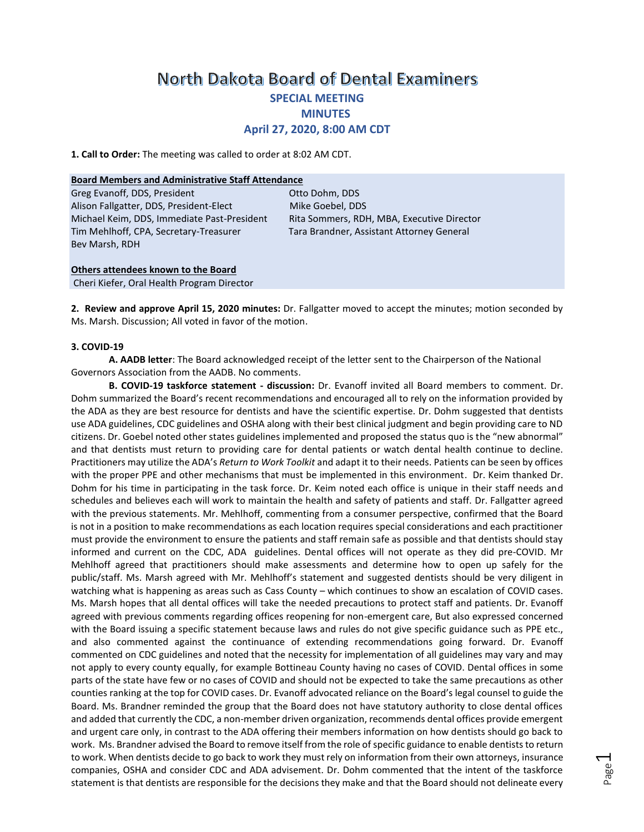# **North Dakota Board of Dental Examiners SPECIAL MEETING MINUTES April 27, 2020, 8:00 AM CDT**

**1. Call to Order:** The meeting was called to order at 8:02 AM CDT.

#### **Board Members and Administrative Staff Attendance**

Greg Evanoff, DDS, President Christian Communication Ctto Dohm, DDS Alison Fallgatter, DDS, President-Elect Mike Goebel, DDS Michael Keim, DDS, Immediate Past-President Rita Sommers, RDH, MBA, Executive Director Tim Mehlhoff, CPA, Secretary-Treasurer Tara Brandner, Assistant Attorney General Bev Marsh, RDH

#### **Others attendees known to the Board** Cheri Kiefer, Oral Health Program Director

**2. Review and approve April 15, 2020 minutes:** Dr. Fallgatter moved to accept the minutes; motion seconded by Ms. Marsh. Discussion; All voted in favor of the motion.

### **3. COVID-19**

**A. AADB letter**: The Board acknowledged receipt of the letter sent to the Chairperson of the National Governors Association from the AADB. No comments.

**B. COVID-19 taskforce statement - discussion:** Dr. Evanoff invited all Board members to comment. Dr. Dohm summarized the Board's recent recommendations and encouraged all to rely on the information provided by the ADA as they are best resource for dentists and have the scientific expertise. Dr. Dohm suggested that dentists use ADA guidelines, CDC guidelines and OSHA along with their best clinical judgment and begin providing care to ND citizens. Dr. Goebel noted other states guidelines implemented and proposed the status quo is the "new abnormal" and that dentists must return to providing care for dental patients or watch dental health continue to decline. Practitioners may utilize the ADA's *Return to Work Toolkit* and adapt it to their needs. Patients can be seen by offices with the proper PPE and other mechanisms that must be implemented in this environment. Dr. Keim thanked Dr. Dohm for his time in participating in the task force. Dr. Keim noted each office is unique in their staff needs and schedules and believes each will work to maintain the health and safety of patients and staff. Dr. Fallgatter agreed with the previous statements. Mr. Mehlhoff, commenting from a consumer perspective, confirmed that the Board is not in a position to make recommendations as each location requires special considerations and each practitioner must provide the environment to ensure the patients and staff remain safe as possible and that dentists should stay informed and current on the CDC, ADA guidelines. Dental offices will not operate as they did pre-COVID. Mr Mehlhoff agreed that practitioners should make assessments and determine how to open up safely for the public/staff. Ms. Marsh agreed with Mr. Mehlhoff's statement and suggested dentists should be very diligent in watching what is happening as areas such as Cass County – which continues to show an escalation of COVID cases. Ms. Marsh hopes that all dental offices will take the needed precautions to protect staff and patients. Dr. Evanoff agreed with previous comments regarding offices reopening for non-emergent care, But also expressed concerned with the Board issuing a specific statement because laws and rules do not give specific guidance such as PPE etc., and also commented against the continuance of extending recommendations going forward. Dr. Evanoff commented on CDC guidelines and noted that the necessity for implementation of all guidelines may vary and may not apply to every county equally, for example Bottineau County having no cases of COVID. Dental offices in some parts of the state have few or no cases of COVID and should not be expected to take the same precautions as other counties ranking at the top for COVID cases. Dr. Evanoff advocated reliance on the Board's legal counsel to guide the Board. Ms. Brandner reminded the group that the Board does not have statutory authority to close dental offices and added that currently the CDC, a non-member driven organization, recommends dental offices provide emergent and urgent care only, in contrast to the ADA offering their members information on how dentists should go back to work. Ms. Brandner advised the Board to remove itself from the role of specific guidance to enable dentists to return to work. When dentists decide to go back to work they must rely on information from their own attorneys, insurance companies, OSHA and consider CDC and ADA advisement. Dr. Dohm commented that the intent of the taskforce statement is that dentists are responsible for the decisions they make and that the Board should not delineate every